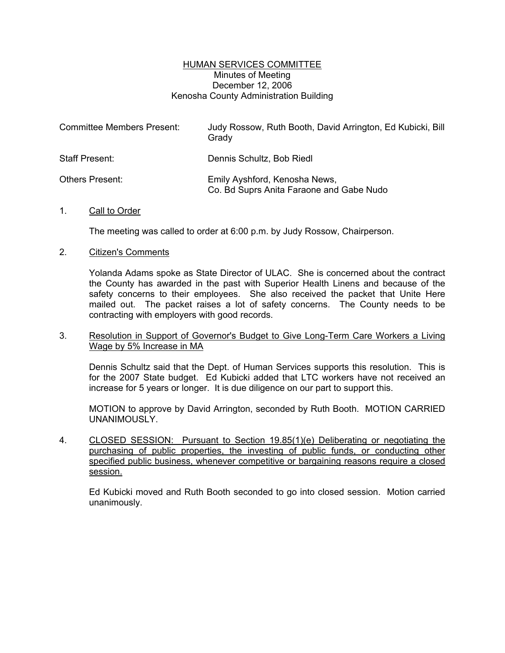## HUMAN SERVICES COMMITTEE Minutes of Meeting December 12, 2006 Kenosha County Administration Building

| <b>Committee Members Present:</b> | Judy Rossow, Ruth Booth, David Arrington, Ed Kubicki, Bill<br>Grady       |
|-----------------------------------|---------------------------------------------------------------------------|
| Staff Present:                    | Dennis Schultz, Bob Riedl                                                 |
| Others Present:                   | Emily Ayshford, Kenosha News,<br>Co. Bd Suprs Anita Faraone and Gabe Nudo |

## 1. Call to Order

The meeting was called to order at 6:00 p.m. by Judy Rossow, Chairperson.

## 2. Citizen's Comments

Yolanda Adams spoke as State Director of ULAC. She is concerned about the contract the County has awarded in the past with Superior Health Linens and because of the safety concerns to their employees. She also received the packet that Unite Here mailed out. The packet raises a lot of safety concerns. The County needs to be contracting with employers with good records.

# 3. Resolution in Support of Governor's Budget to Give Long-Term Care Workers a Living Wage by 5% Increase in MA

Dennis Schultz said that the Dept. of Human Services supports this resolution. This is for the 2007 State budget. Ed Kubicki added that LTC workers have not received an increase for 5 years or longer. It is due diligence on our part to support this.

MOTION to approve by David Arrington, seconded by Ruth Booth. MOTION CARRIED UNANIMOUSLY.

4. CLOSED SESSION: Pursuant to Section 19.85(1)(e) Deliberating or negotiating the purchasing of public properties, the investing of public funds, or conducting other specified public business, whenever competitive or bargaining reasons require a closed session.

Ed Kubicki moved and Ruth Booth seconded to go into closed session. Motion carried unanimously.